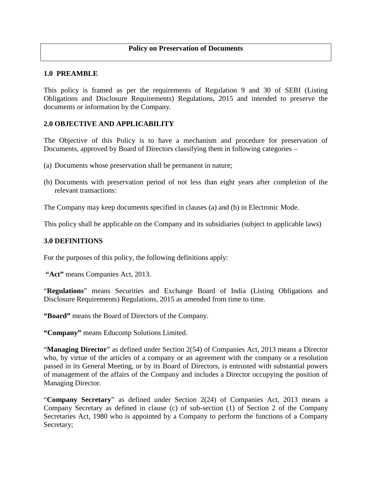#### **1.0 PREAMBLE**

This policy is framed as per the requirements of Regulation 9 and 30 of SEBI (Listing Obligations and Disclosure Requirements) Regulations, 2015 and intended to preserve the documents or information by the Company.

### **2.0 OBJECTIVE AND APPLICABILITY**

The Objective of this Policy is to have a mechanism and procedure for preservation of Documents, approved by Board of Directors classifying them in following categories –

- (a) Documents whose preservation shall be permanent in nature;
- (b) Documents with preservation period of not less than eight years after completion of the relevant transactions:

The Company may keep documents specified in clauses (a) and (b) in Electronic Mode.

This policy shall be applicable on the Company and its subsidiaries (subject to applicable laws)

### **3.0 DEFINITIONS**

For the purposes of this policy, the following definitions apply:

**"Act"** means Companies Act, 2013.

"**Regulations**" means Securities and Exchange Board of India (Listing Obligations and Disclosure Requirements) Regulations, 2015 as amended from time to time.

**"Board"** means the Board of Directors of the Company.

**"Company"** means Educomp Solutions Limited.

"**Managing Director**" as defined under Section 2(54) of Companies Act, 2013 means a Director who, by virtue of the articles of a company or an agreement with the company or a resolution passed in its General Meeting, or by its Board of Directors, is entrusted with substantial powers of management of the affairs of the Company and includes a Director occupying the position of Managing Director.

"**Company Secretary**" as defined under Section 2(24) of Companies Act, 2013 means a Company Secretary as defined in clause (c) of sub-section (1) of Section 2 of the Company Secretaries Act, 1980 who is appointed by a Company to perform the functions of a Company Secretary;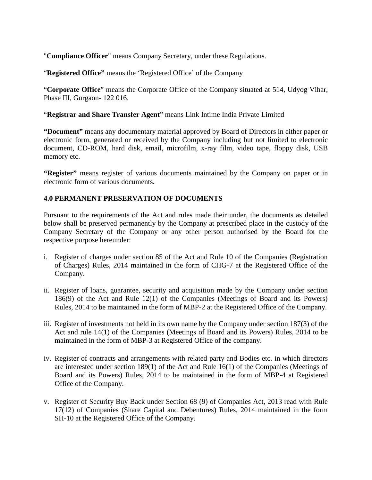"**Compliance Officer**" means Company Secretary, under these Regulations.

"**Registered Office"** means the 'Registered Office' of the Company

"**Corporate Office**" means the Corporate Office of the Company situated at 514, Udyog Vihar, Phase III, Gurgaon- 122 016.

"**Registrar and Share Transfer Agent**" means Link Intime India Private Limited

**"Document"** means any documentary material approved by Board of Directors in either paper or electronic form, generated or received by the Company including but not limited to electronic document, CD-ROM, hard disk, email, microfilm, x-ray film, video tape, floppy disk, USB memory etc.

**"Register"** means register of various documents maintained by the Company on paper or in electronic form of various documents.

## **4.0 PERMANENT PRESERVATION OF DOCUMENTS**

Pursuant to the requirements of the Act and rules made their under, the documents as detailed below shall be preserved permanently by the Company at prescribed place in the custody of the Company Secretary of the Company or any other person authorised by the Board for the respective purpose hereunder:

- i. Register of charges under section 85 of the Act and Rule 10 of the Companies (Registration of Charges) Rules, 2014 maintained in the form of CHG-7 at the Registered Office of the Company.
- ii. Register of loans, guarantee, security and acquisition made by the Company under section 186(9) of the Act and Rule 12(1) of the Companies (Meetings of Board and its Powers) Rules, 2014 to be maintained in the form of MBP-2 at the Registered Office of the Company.
- iii. Register of investments not held in its own name by the Company under section 187(3) of the Act and rule 14(1) of the Companies (Meetings of Board and its Powers) Rules, 2014 to be maintained in the form of MBP-3 at Registered Office of the company.
- iv. Register of contracts and arrangements with related party and Bodies etc. in which directors are interested under section 189(1) of the Act and Rule 16(1) of the Companies (Meetings of Board and its Powers) Rules, 2014 to be maintained in the form of MBP-4 at Registered Office of the Company.
- v. Register of Security Buy Back under Section 68 (9) of Companies Act, 2013 read with Rule 17(12) of Companies (Share Capital and Debentures) Rules, 2014 maintained in the form SH-10 at the Registered Office of the Company.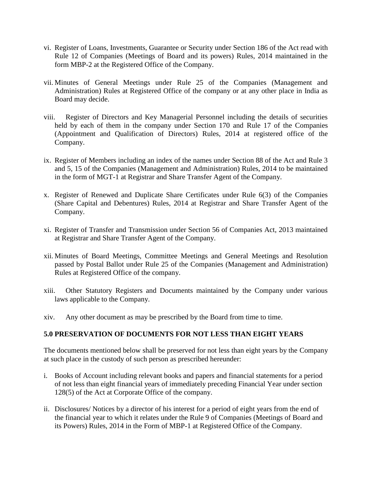- vi. Register of Loans, Investments, Guarantee or Security under Section 186 of the Act read with Rule 12 of Companies (Meetings of Board and its powers) Rules, 2014 maintained in the form MBP-2 at the Registered Office of the Company.
- vii. Minutes of General Meetings under Rule 25 of the Companies (Management and Administration) Rules at Registered Office of the company or at any other place in India as Board may decide.
- viii. Register of Directors and Key Managerial Personnel including the details of securities held by each of them in the company under Section 170 and Rule 17 of the Companies (Appointment and Qualification of Directors) Rules, 2014 at registered office of the Company.
- ix. Register of Members including an index of the names under Section 88 of the Act and Rule 3 and 5, 15 of the Companies (Management and Administration) Rules, 2014 to be maintained in the form of MGT-1 at Registrar and Share Transfer Agent of the Company.
- x. Register of Renewed and Duplicate Share Certificates under Rule 6(3) of the Companies (Share Capital and Debentures) Rules, 2014 at Registrar and Share Transfer Agent of the Company.
- xi. Register of Transfer and Transmission under Section 56 of Companies Act, 2013 maintained at Registrar and Share Transfer Agent of the Company.
- xii. Minutes of Board Meetings, Committee Meetings and General Meetings and Resolution passed by Postal Ballot under Rule 25 of the Companies (Management and Administration) Rules at Registered Office of the company.
- xiii. Other Statutory Registers and Documents maintained by the Company under various laws applicable to the Company.
- xiv. Any other document as may be prescribed by the Board from time to time.

## **5.0 PRESERVATION OF DOCUMENTS FOR NOT LESS THAN EIGHT YEARS**

The documents mentioned below shall be preserved for not less than eight years by the Company at such place in the custody of such person as prescribed hereunder:

- i. Books of Account including relevant books and papers and financial statements for a period of not less than eight financial years of immediately preceding Financial Year under section 128(5) of the Act at Corporate Office of the company.
- ii. Disclosures/ Notices by a director of his interest for a period of eight years from the end of the financial year to which it relates under the Rule 9 of Companies (Meetings of Board and its Powers) Rules, 2014 in the Form of MBP-1 at Registered Office of the Company.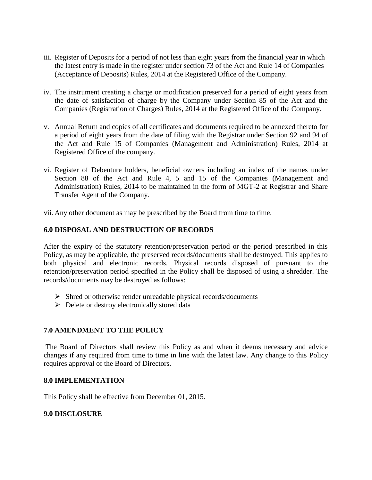- iii. Register of Deposits for a period of not less than eight years from the financial year in which the latest entry is made in the register under section 73 of the Act and Rule 14 of Companies (Acceptance of Deposits) Rules, 2014 at the Registered Office of the Company.
- iv. The instrument creating a charge or modification preserved for a period of eight years from the date of satisfaction of charge by the Company under Section 85 of the Act and the Companies (Registration of Charges) Rules, 2014 at the Registered Office of the Company.
- v. Annual Return and copies of all certificates and documents required to be annexed thereto for a period of eight years from the date of filing with the Registrar under Section 92 and 94 of the Act and Rule 15 of Companies (Management and Administration) Rules, 2014 at Registered Office of the company.
- vi. Register of Debenture holders, beneficial owners including an index of the names under Section 88 of the Act and Rule 4, 5 and 15 of the Companies (Management and Administration) Rules, 2014 to be maintained in the form of MGT-2 at Registrar and Share Transfer Agent of the Company.

vii. Any other document as may be prescribed by the Board from time to time.

### **6.0 DISPOSAL AND DESTRUCTION OF RECORDS**

After the expiry of the statutory retention/preservation period or the period prescribed in this Policy, as may be applicable, the preserved records/documents shall be destroyed. This applies to both physical and electronic records. Physical records disposed of pursuant to the retention/preservation period specified in the Policy shall be disposed of using a shredder. The records/documents may be destroyed as follows:

- $\triangleright$  Shred or otherwise render unreadable physical records/documents
- $\triangleright$  Delete or destroy electronically stored data

# **7.0 AMENDMENT TO THE POLICY**

The Board of Directors shall review this Policy as and when it deems necessary and advice changes if any required from time to time in line with the latest law. Any change to this Policy requires approval of the Board of Directors.

### **8.0 IMPLEMENTATION**

This Policy shall be effective from December 01, 2015.

### **9.0 DISCLOSURE**